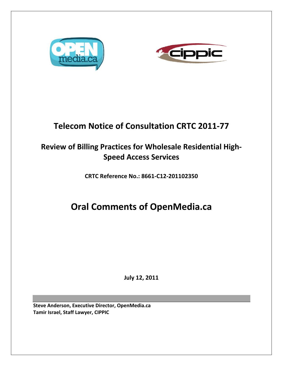



# **Telecom Notice of Consultation CRTC 2011‐77**

## **Review of Billing Practices for Wholesale Residential High‐ Speed Access Services**

**CRTC Reference No.: 8661‐C12‐201102350**

# **Oral Comments of OpenMedia.ca**

**July 12, 2011**

**Steve Anderson, Executive Director, OpenMedia.ca Tamir Israel, Staff Lawyer, CIPPIC**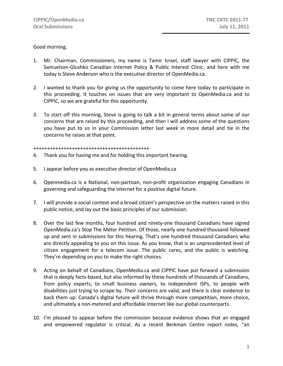## Good morning.

- 1. Mr. Chairman, Commissioners, my name is Tamir Israel, staff lawyer with CIPPIC, the Samuelson‐Glushko Canadian Internet Policy & Public Interest Clinic, and here with me today is Steve Anderson who is the executive director of OpenMedia.ca.
- 2. I wanted to thank you for giving us the opportunity to come here today to participate in this proceeding. It touches on issues that are very important to OpenMedia.ca and to CIPPIC, so we are grateful for this opportunity.
- 3. To start off this morning, Steve is going to talk a bit in general terms about some of our concerns that are raised by this proceeding, and then I will address some of the questions you have put to us in your Commission letter last week in more detail and tie in the concerns he raises at that point.

#### ++++++++++++++++++++++++++++++++++++++++++

- 4. Thank you for having me and for holding this important hearing.
- 5. I appear before you as executive director of OpenMedia.ca
- 6. Openmedia.ca is a National, non‐partisan, non‐profit organization engaging Canadians in governing and safeguarding the internet for a positive digital future.
- 7. I will provide a social context and a broad citizen's perspective on the matters raised in this public notice, and lay out the basic principles of our submission.
- 8. Over the last few months, four hundred and ninety-one thousand Canadians have signed OpenMedia.ca's Stop The Meter Petition. Of those, nearly one hundred thousand followed up and sent in submissions for this hearing. That's one hundred thousand Canadians who are directly appealing to you on this issue. As you know, that is an unprecedented level of citizen engagement for a telecom issue. The public cares, and the public is watching. They're depending on you to make the right choices.
- 9. Acting on behalf of Canadians, OpenMedia.ca and CIPPIC have put forward a submission that is deeply facts‐based, but also informed by these hundreds of thousands of Canadians, from policy experts, to small business owners, to independent ISPs, to people with disabilities just trying to scrape by. Their concerns are valid, and there is clear evidence to back them up: Canada's digital future will thrive through more competition, more choice, and ultimately a non‐metered and affordable Internet like our global counterparts.
- 10. I'm pleased to appear before the commission because evidence shows that an engaged and empowered regulator is critical. As a recent Berkman Centre report notes, "an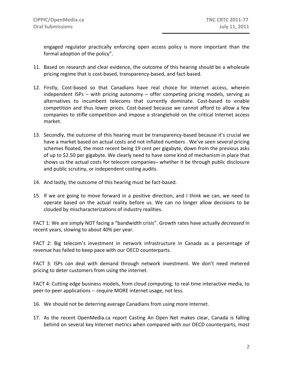engaged regulator practically enforcing open access policy is more important than the formal adoption of the policy".

- 11. Based on research and clear evidence, the outcome of this hearing should be a wholesale pricing regime that is cost‐based, transparency‐based, and fact‐based.
- 12. Firstly, Cost-based so that Canadians have real choice for Internet access, wherein independent ISPs – with pricing autonomy – offer competing pricing models, serving as alternatives to incumbent telecoms that currently dominate. Cost-based to enable competition and thus lower prices. Cost‐based because we cannot afford to allow a few companies to stifle competition and impose a stranglehold on the critical Internet access market.
- 13. Secondly, the outcome of this hearing must be transparency-based because it's crucial we have a market based on actual costs and not inflated numbers . We've seen several pricing schemes floated, the most recent being 19 cent per gigabyte, down from the previous asks of up to \$2.50 per gigabyte. We clearly need to have some kind of mechanism in place that shows us the actual costs for telecom companies– whether it be through public disclosure and public scrutiny, or independent costing audits.
- 14. And lastly, the outcome of this hearing must be fact-based.
- 15. If we are going to move forward in a positive direction, and I think we can, we need to operate based on the actual reality before us. We can no longer allow decisions to be clouded by mischaracterizations of industry realities.

FACT 1: We are simply NOT facing a "bandwidth crisis". Growth rates have actually *decreased* in recent years, slowing to about 40% per year.

FACT 2: Big telecom's investment in network infrastructure in Canada as a percentage of revenue has failed to keep pace with our OECD counterparts.

FACT 3: ISPs *can* deal with demand through network investment. We don't need metered pricing to deter customers from using the internet.

FACT 4: Cutting edge business models, from cloud computing, to real time interactive media, to peer‐to‐peer applications ‐‐ require MORE internet usage, not less.

- 16. We should not be deterring average Canadians from using more Internet.
- 17. As the recent OpenMedia.ca report Casting An Open Net makes clear, Canada is falling behind on several key Internet metrics when compared with our OECD counterparts, most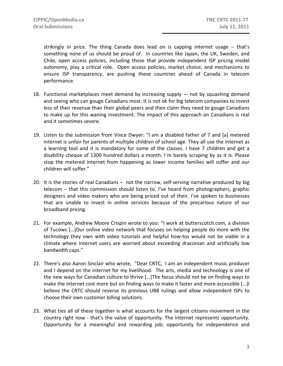strikingly in price. The thing Canada does lead on is capping internet usage – that's something none of us should be proud of. In countries like Japan, the UK, Sweden, and Chile, open access policies, including those that provide independent ISP pricing model autonomy, play a critical role. Open access policies, market choice, and mechanisms to ensure ISP transparency, are pushing these countries ahead of Canada in telecom performance.

- 18. Functional marketplaces meet demand by increasing supply not by squashing demand and seeing who can gouge Canadians most. It is not ok for big telecom companies to invest less of their revenue than their global peers and then claim they need to gouge Canadians to make up for this waning investment. The impact of this approach on Canadians is real and it sometimes severe.
- 19. Listen to the submission from Vince Dwyer: "I am a disabled father of 7 and [a] metered internet is unfair for parents of multiple children of school age. They all use the internet as a learning tool and it is mandatory for some of the classes. I have 7 children and get a disability cheque of 1300 hundred dollars a month. I`m barely scraping by as it is. Please stop the metered internet from happening as lower income families will suffer and our children will suffer."
- 20. It is the stories of real Canadians not the narrow, self-serving narrative produced by big telecom – that this commission should listen to. I've heard from photographers, graphic designers and video makers who are being priced out of their. I've spoken to businesses that are unable to invest in online services because of the precarious nature of our broadband pricing.
- 21. For example, Andrew Moore Crispin wrote to you: "I work at butterscotch.com, a division of Tucows […]Our online video network that focuses on helping people do more with the technology they own with video tutorials and helpful how‐tos would not be viable in a climate where Internet users are worried about exceeding draconian and artificially low bandwidth caps."
- 22. There's also Aaron Sinclair who wrote, "Dear CRTC, I am an independent music producer and I depend on the internet for my livelihood. The arts, media and technology is one of the new ways for Canadian culture to thrive […]The focus should not be on finding ways to make the internet cost more but on finding ways to make it faster and more accessible […]I believe the CRTC should reverse its previous UBB rulings and allow independent ISPs to choose their own customer billing solutions.
- 23. What ties all of these together is what accounts for the largest citizens movement in the country right now - that's the value of opportunity. The Internet represents opportunity. Opportunity for a meaningful and rewarding job; opportunity for independence and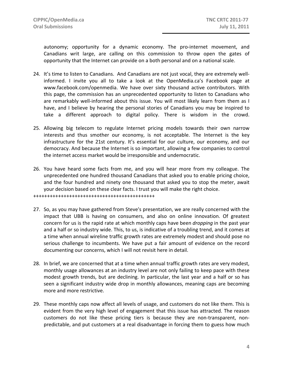autonomy; opportunity for a dynamic economy. The pro-internet movement, and Canadians writ large, are calling on this commission to throw open the gates of opportunity that the Internet can provide on a both personal and on a national scale.

- 24. It's time to listen to Canadians. And Canadians are not just vocal, they are extremely wellinformed. I invite you all to take a look at the OpenMedia.ca's Facebook page at www.facebook.com/openmedia. We have over sixty thousand active contributors. With this page, the commission has an unprecedented opportunity to listen to Canadians who are remarkably well‐informed about this issue. You will most likely learn from them as I have, and I believe by hearing the personal stories of Canadians you may be inspired to take a different approach to digital policy. There is wisdom in the crowd.
- 25. Allowing big telecom to regulate Internet pricing models towards their own narrow interests and thus smother our economy, is not acceptable. The Internet is the key infrastructure for the 21st century. It's essential for our culture, our economy, and our democracy. And because the Internet is so important, allowing a few companies to control the internet access market would be irresponsible and undemocratic.
- 26. You have heard some facts from me, and you will hear more from my colleague. The unprecedented one hundred thousand Canadians that asked you to enable pricing choice, and the four hundred and ninety one thousand that asked you to stop the meter, await your decision based on these clear facts. I trust you will make the right choice.

- 27. So, as you may have gathered from Steve's presentation, we are really concerned with the impact that UBB is having on consumers, and also on online innovation. Of greatest concern for us is the rapid rate at which monthly caps have been *dropping* in the past year and a half or so industry wide. This, to us, is indicative of a troubling trend, and it comes at a time when annual wireline traffic growth rates are extremely modest and should pose no serious challenge to incumbents. We have put a fair amount of evidence on the record documenting our concerns, which I will not revisit here in detail.
- 28. In brief, we are concerned that at a time when annual traffic growth rates are very modest, monthly usage allowances at an industry level are not only failing to keep pace with these modest growth trends, but are declining. In particular, the last year and a half or so has seen a significant industry wide drop in monthly allowances, meaning caps are becoming more and more restrictive.
- 29. These monthly caps now affect all levels of usage, and customers do not like them. This is evident from the very high level of engagement that this issue has attracted. The reason customers do not like these pricing tiers is because they are non-transparent, nonpredictable, and put customers at a real disadvantage in forcing them to guess how much

<sup>++++++++++++++++++++++++++++++++++++++++++++</sup>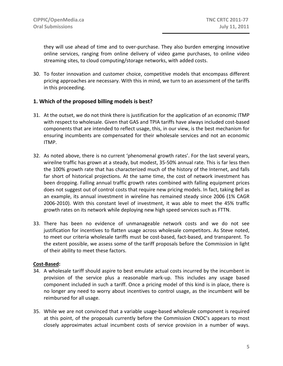they will use ahead of time and to over‐purchase. They also burden emerging innovative online services, ranging from online delivery of video game purchases, to online video streaming sites, to cloud computing/storage networks, with added costs.

30. To foster innovation and customer choice, competitive models that encompass different pricing approaches are necessary. With this in mind, we turn to an assessment of the tariffs in this proceeding.

## **1. Which of the proposed billing models is best?**

- 31. At the outset, we do not think there is justification for the application of an economic ITMP with respect to wholesale. Given that GAS and TPIA tariffs have always included cost‐based components that are intended to reflect usage, this, in our view, is the best mechanism for ensuring incumbents are compensated for their wholesale services and not an economic ITMP.
- 32. As noted above, there is no current 'phenomenal growth rates'. For the last several years, wireilne traffic has grown at a steady, but modest, 35-50% annual rate. This is far less then the 100% growth rate that has characterized much of the history of the Internet, and falls far short of historical projections. At the same time, the cost of network investment has been dropping. Falling annual traffic growth rates combined with falling equipment prices does not suggest out of control costs that require new pricing models. In fact, taking Bell as an example, its annual investment in wireline has remained steady since 2006 (1% CAGR 2006‐2010). With this constant level of investment, it was able to meet the 45% traffic growth rates on its network while deploying new high speed services such as FTTN.
- 33. There has been no evidence of unmanageable network costs and we do not see justification for incentives to flatten usage across wholesale competitors. As Steve noted, to meet our criteria wholesale tariffs must be cost-based, fact-based, and transparent. To the extent possible, we assess some of the tariff proposals before the Commission in light of their ability to meet these factors.

## **Cost‐Based:**

- 34. A wholesale tariff should aspire to best emulate actual costs incurred by the incumbent in provision of the service plus a reasonable mark‐up. This includes any usage based component included in such a tariff. Once a pricing model of this kind is in place, there is no longer any need to worry about incentives to control usage, as the incumbent will be reimbursed for all usage.
- 35. While we are not convinced that a variable usage‐based wholesale component is required at this point, of the proposals currently before the Commission CNOC's appears to most closely approximates actual incumbent costs of service provision in a number of ways.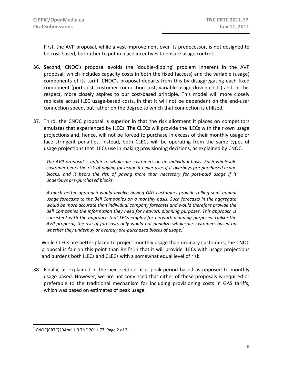First, the AVP proposal, while a vast improvement over its predecessor, is not designed to be cost-based, but rather to put in place incentives to ensure usage control.

- 36. Second, CNOC's proposal avoids the 'double‐dipping' problem inherent in the AVP proposal, which includes capacity costs in both the fixed (access) and the variable (usage) components of its tariff. CNOC's proposal departs from this by disaggregating each fixed component (port cost, customer connection cost, variable usage‐driven costs) and, in this respect, more closely aspires to our cost-based principle. This model will more closely replicate actual ILEC usage-based costs, in that it will not be dependent on the end-user connection speed, but rather on the degree to which that connection is utilized.
- 37. Third, the CNOC proposal is superior in that the risk allotment it places on competitors emulates that experienced by ILECs. The CLECs will provide the ILECs with their own usage projections and, hence, will not be forced to purchase in excess of their monthly usage or face stringent penalties. Instead, both CLECs will be operating from the same types of usage projections that ILECs use in making provisioning decisions, as explained by CNOC:

*The AVP proposal is unfair to wholesale customers on an individual basis. Each wholesale customer bears the risk of paying for usage it never uses if it overbuys pre‐purchased usage blocks, and it bears the risk of paying more than necessary for post‐paid usage if it underbuys pre‐purchased blocks.*

*A much better approach would involve having GAS customers provide rolling semi‐annual usage forecasts to the Bell Companies on a monthly basis. Such forecasts in the aggregate would be more accurate than individual company forecasts and would therefore provide the Bell Companies the information they need for network planning purposes. This approach is consistent with the approach that LECs employ for network planning purposes. Unlike the AVP proposal, the use of forecasts only would not penalize wholesale customers based on whether they underbuy or overbuy pre‐purchased blocks of usage.<sup>1</sup>*

While CLECs are better placed to project monthly usage than ordinary customers, the CNOC proposal is fair on this point than Bell's in that it will provide ILECs with usage projections and burdens both ILECs and CLECs with a somewhat equal level of risk.

38. Finally, as explained in the next section, it is peak‐period based as opposed to monthly usage based. However, we are not convinced that either of these proposals is required or preferable to the traditional mechanism for including provisioning costs in GAS tariffs, which was based on estimates of peak usage.

 $\overline{a}$ 

 $1$  CNOC(CRTC)29Apr11-3 TNC 2011-77, Page 2 of 2.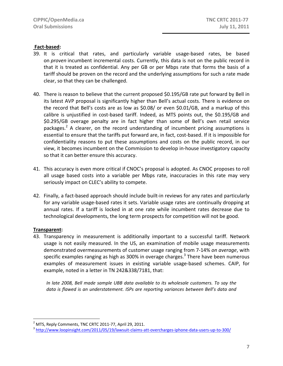## **Fact‐based:**

- 39. It is critical that rates, and particularly variable usage‐based rates, be based on *proven* incumbent incremental costs. Currently, this data is not on the public record in that it is treated as confidential. Any per GB or per Mbps rate that forms the basis of a tariff should be proven on the record and the underlying assumptions for such a rate made clear, so that they can be challenged.
- 40. There is reason to believe that the current proposed \$0.195/GB rate put forward by Bell in its latest AVP proposal is significantly higher than Bell's actual costs. There is evidence on the record that Bell's costs are as low as \$0.08/ or even \$0.01/GB, and a markup of this calibre is unjustified in cost‐based tariff. Indeed, as MTS points out, the \$0.195/GB and \$0.295/GB overage penalty are in fact higher than some of Bell's own retail service packages.2 A clearer, on the record understanding of incumbent pricing assumptions is essential to ensure that the tariffs put forward are, in fact, cost-based. If it is impossible for confidentiality reasons to put these assumptions and costs on the public record, in our view, it becomes incumbent on the Commission to develop in‐house investigatory capacity so that it can better ensure this accuracy.
- 41. This accuracy is even more critical if CNOC's proposal is adopted. As CNOC proposes to roll all usage based costs into a variable per Mbps rate, inaccuracies in this rate may very seriously impact on CLEC's ability to compete.
- 42. Finally, a fact-based approach should include built-in reviews for any rates and particularly for any variable usage‐based rates it sets. Variable usage rates are continually dropping at annual rates. If a tariff is locked in at one rate while incumbent rates decrease due to technological developments, the long term prospects for competition will not be good.

#### **Transparent:**

 $\overline{a}$ 

43. Transparency in measurement is additionally important to a successful tariff. Network usage is not easily measured. In the US, an examination of mobile usage measurements demonstrated overmeasurements of customer usage ranging from 7‐14% *on average*, with specific examples ranging as high as  $300\%$  in overage charges.<sup>3</sup> There have been numerous examples of measurement issues in existing variable usage‐based schemes. CAIP, for example, noted in a letter in TN 242&338/7181, that:

*In late 2008, Bell made sample UBB data available to its wholesale customers. To say the data is flawed is an understatement. ISPs are reporting variances between Bell's data and*

<sup>&</sup>lt;sup>2</sup> MTS, Reply Comments, TNC CRTC 2011‐77, April 29, 2011.<br><sup>3</sup> http://www.loopinsight.com/2011/05/19/lawsuit‐claims‐att‐overcharges‐iphone‐data‐users‐up‐to‐300/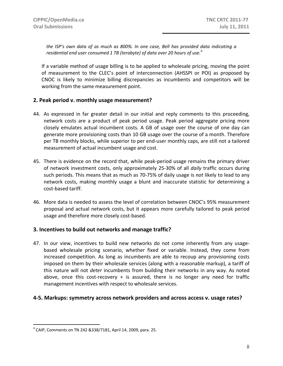*the ISP's own data of as much as 800%. In one case, Bell has provided data indicating a residential end user consumed 1 TB (terabyte) of data over 20 hours of use.<sup>4</sup>*

If a variable method of usage billing is to be applied to wholesale pricing, moving the point of measurement to the CLEC's point of interconnection (AHSSPI or POI) as proposed by CNOC is likely to minimize billing discrepancies as incumbents and competitors will be working from the same measurement point.

## **2. Peak period v. monthly usage measurement?**

- 44. As expressed in far greater detail in our initial and reply comments to this proceeding, network costs are a product of peak period usage. Peak period aggregate pricing more closely emulates actual incumbent costs. A GB of usage over the course of one day can generate more provisioning costs than 10 GB usage over the course of a month. Therefore per TB monthly blocks, while superior to per end-user monthly caps, are still not a tailored measurement of actual incumbent usage and cost.
- 45. There is evidence on the record that, while peak-period usage remains the primary driver of network investment costs, only approximately 25‐30% of all *daily* traffic occurs during such periods. This means that as much as 70‐75% of daily usage is *not* likely to lead to any network costs, making monthly usage a blunt and inaccurate statistic for determining a cost‐based tariff.
- 46. More data is needed to assess the level of correlation between CNOC's 95% measurement proposal and actual network costs, but it appears more carefully tailored to peak period usage and therefore more closely cost‐based.

#### **3. Incentives to build out networks and manage traffic?**

47. In our view, incentives to build new networks do not come inherently from any usagebased wholesale pricing scenario, whether fixed or variable. Instead, they come from increased competition. As long as incumbents are able to recoup any provisioning costs imposed on them by their wholesale services (along with a reasonable markup), a tariff of this nature will not *deter* incumbents from building their networks in any way. As noted above, once this cost-recovery  $+$  is assured, there is no longer any need for traffic management incentives with respect to wholesale services.

#### **4‐5. Markups: symmetry across network providers and across access v. usage rates?**

 $\overline{a}$ 

 $4$  CAIP, Comments on TN 242 & 338/7181, April 14, 2009, para. 25.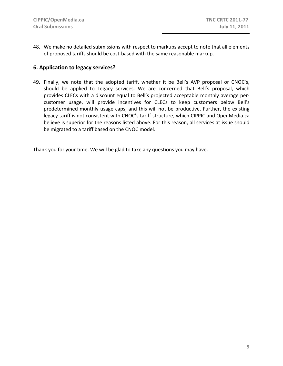48. We make no detailed submissions with respect to markups accept to note that all elements of proposed tariffs should be cost‐based with the same reasonable markup.

## **6. Application to legacy services?**

49. Finally, we note that the adopted tariff, whether it be Bell's AVP proposal or CNOC's, should be applied to Legacy services. We are concerned that Bell's proposal, which provides CLECs with a discount equal to Bell's projected acceptable monthly average per‐ customer usage, will provide incentives for CLECs to keep customers below Bell's predetermined monthly usage caps, and this will not be productive. Further, the existing legacy tariff is not consistent with CNOC's tariff structure, which CIPPIC and OpenMedia.ca believe is superior for the reasons listed above. For this reason, all services at issue should be migrated to a tariff based on the CNOC model.

Thank you for your time. We will be glad to take any questions you may have.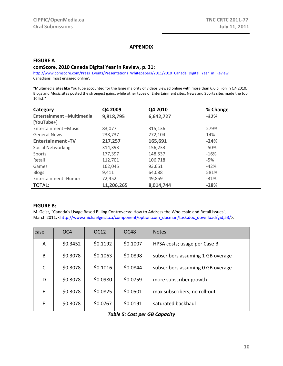#### **APPENDIX**

### **FIGURE A comScore, 2010 Canada Digital Year in Review, p. 31:**

http://www.comscore.com/Press\_Events/Presentations\_Whitepapers/2011/2010\_Canada\_Digital\_Year\_in\_Review Canadians 'most engaged online'.

"Multimedia sites like YouTube accounted for the large majority of videos viewed online with more than 6.6 billion in Q4 2010. Blogs and Music sites posted the strongest gains, while other types of Entertainment sites, News and Sports sites made the top 10 list."

| Category                 | Q4 2009    | Q4 2010   | % Change |
|--------------------------|------------|-----------|----------|
| Entertainment-Multimedia | 9,818,795  | 6,642,727 | $-32%$   |
| [YouTube+]               |            |           |          |
| Entertainment-Music      | 83,077     | 315,136   | 279%     |
| <b>General News</b>      | 238,737    | 272,104   | 14%      |
| <b>Entertainment-TV</b>  | 217,257    | 165,691   | $-24%$   |
| Social Networking        | 314,393    | 156,233   | $-50\%$  |
| Sports                   | 177,397    | 148,537   | $-16%$   |
| Retail                   | 112,701    | 106,718   | -5%      |
| Games                    | 162,045    | 93,651    | $-42%$   |
| <b>Blogs</b>             | 9,411      | 64,088    | 581%     |
| Entertainment - Humor    | 72,452     | 49,859    | $-31%$   |
| TOTAL:                   | 11,206,265 | 8,014,744 | $-28%$   |

#### **FIGURE B:**

M. Geist, "Canada's Usage Based Billing Controversy: How to Address the Wholesale and Retail Issues", March 2011, <http://www.michaelgeist.ca/component/option,com\_docman/task,doc\_download/gid,53/>.

| case | OC <sub>4</sub> | OC12     | OC <sub>48</sub> | <b>Notes</b>                      |
|------|-----------------|----------|------------------|-----------------------------------|
| A    | \$0.3452        | \$0.1192 | \$0.1007         | HPSA costs; usage per Case B      |
| B.   | \$0.3078        | \$0.1063 | \$0.0898         | subscribers assuming 1 GB overage |
| C    | \$0.3078        | \$0.1016 | \$0.0844         | subscribers assuming 0 GB overage |
| D    | \$0.3078        | \$0.0980 | \$0.0759         | more subscriber growth            |
| F.   | \$0.3078        | \$0.0825 | \$0.0501         | max subscribers, no roll-out      |
| F    | \$0.3078        | \$0.0767 | \$0.0191         | saturated backhaul                |

*Table 5: Cost per GB Capacity*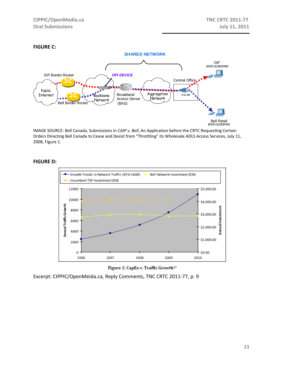## **FIGURE C:**



IMAGE SOURCE: Bell Canada, Submissions in *CAIP v. Bell*, An Application before the CRTC Requesting Certain Orders Directing Bell Canada to Cease and Desist from "Throttling" its Wholesale ADLS Access Services, July 11, 2008, Figure 1.

#### **FIGURE D:**





Excerpt: CIPPIC/OpenMeida.ca, Reply Comments, TNC CRTC 2011‐77, p. 9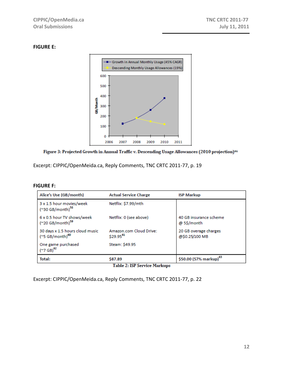## **FIGURE E:**



## Figure 3: Projected Growth in Annual Traffic v. Descending Usage Allowances (2010 projection)<sup>46</sup>

Excerpt: CIPPIC/OpenMeida.ca, Reply Comments, TNC CRTC 2011‐77, p. 19

#### **FIGURE F:**

| Alice's Use (GB/month)                                         | <b>Actual Service Charge</b>                     | <b>ISP Markup</b>                       |
|----------------------------------------------------------------|--------------------------------------------------|-----------------------------------------|
| 3 x 1.5 hour movies/week<br>('30 GB/month) <sup>58</sup>       | Netflix: \$7.99/mth                              |                                         |
| 6 x 0.5 hour TV shows/week<br>('20 GB/month) <sup>59</sup>     | Netflix: 0 (see above)                           | 40 GB insurance scheme<br>@ 5\$/month   |
| 30 days x 1.5 hours cloud music<br>(~5 GB/month) <sup>60</sup> | Amazon.com Cloud Drive:<br>\$29.95 <sup>61</sup> | 20 GB overage charges<br>@\$0.25/100 MB |
| One game purchased<br>$(*7 GB)^{62}$                           | Steam: \$49.95                                   |                                         |
| Total:                                                         | \$87.89                                          | \$50.00 (57% markup) <sup>63</sup>      |

Table 2: ISP Service Markups

Excerpt: CIPPIC/OpenMeida.ca, Reply Comments, TNC CRTC 2011‐77, p. 22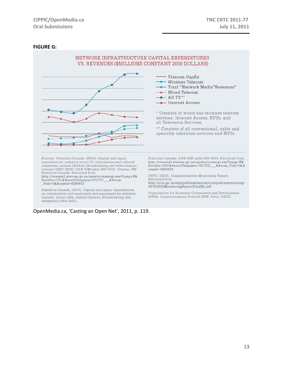#### **FIGURE G:**



Canada, actual data, annual (dollars) (Broadcasting and telephone (1984-1993).

OpenMedia.ca, 'Casting an Open Net', 2011, p. 119.